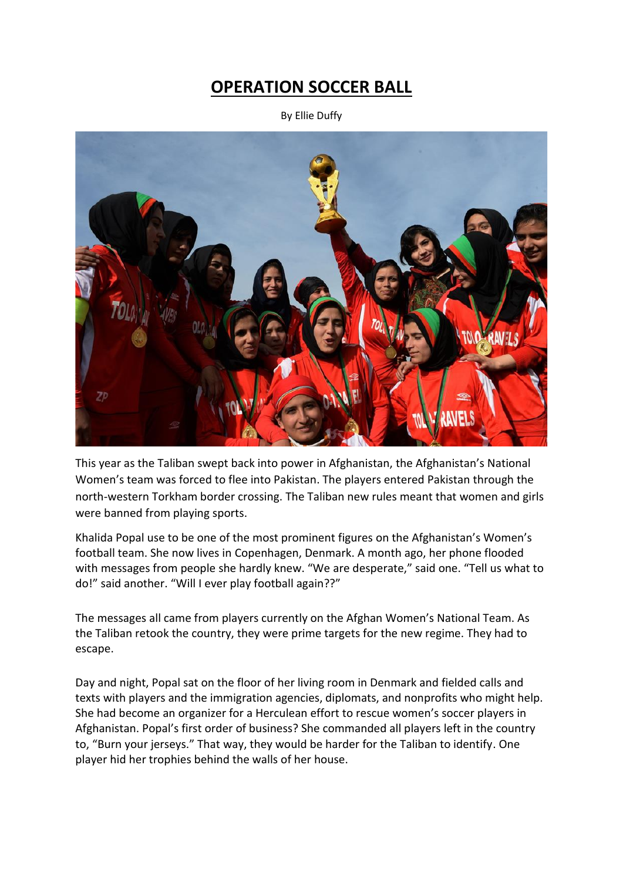## **OPERATION SOCCER BALL**

By Ellie Duffy



This year as the Taliban swept back into power in Afghanistan, the Afghanistan's National Women's team was forced to flee into Pakistan. The players entered Pakistan through the north-western Torkham border crossing. The Taliban new rules meant that women and girls were banned from playing sports.

Khalida Popal use to be one of the most prominent figures on the Afghanistan's Women's football team. She now lives in Copenhagen, Denmark. A month ago, her phone flooded with messages from people she hardly knew. "We are desperate," said one. "Tell us what to do!" said another. "Will I ever play football again??"

The messages all came from players currently on the Afghan Women's National Team. As the Taliban retook the country, they were prime targets for the new regime. They had to escape.

Day and night, Popal sat on the floor of her living room in Denmark and fielded calls and texts with players and the immigration agencies, diplomats, and nonprofits who might help. She had become an organizer for a Herculean effort to rescue women's soccer players in Afghanistan. Popal's first order of business? She commanded all players left in the country to, "Burn your jerseys." That way, they would be harder for the Taliban to identify. One player hid her trophies behind the walls of her house.